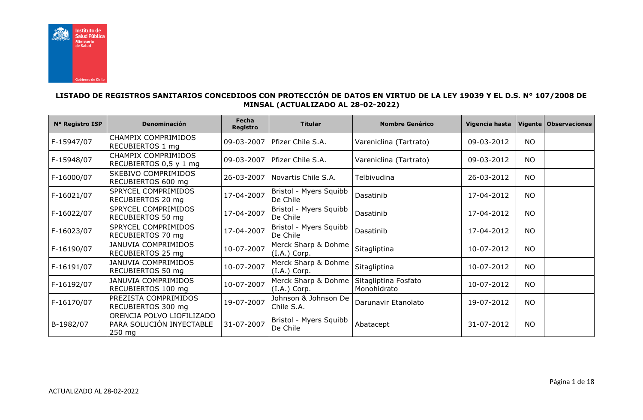

## **LISTADO DE REGISTROS SANITARIOS CONCEDIDOS CON PROTECCIÓN DE DATOS EN VIRTUD DE LA LEY 19039 Y EL D.S. N° 107/2008 DE MINSAL (ACTUALIZADO AL 28-02-2022)**

| N° Registro ISP | Denominación                                                      | Fecha<br><b>Registro</b> | <b>Titular</b>                        | <b>Nombre Genérico</b>              | Vigencia hasta | Vigente   | <b>Observaciones</b> |
|-----------------|-------------------------------------------------------------------|--------------------------|---------------------------------------|-------------------------------------|----------------|-----------|----------------------|
| F-15947/07      | CHAMPIX COMPRIMIDOS<br>RECUBIERTOS 1 mg                           | 09-03-2007               | Pfizer Chile S.A.                     | Vareniclina (Tartrato)              | 09-03-2012     | <b>NO</b> |                      |
| F-15948/07      | CHAMPIX COMPRIMIDOS<br>RECUBIERTOS 0,5 y 1 mg                     | 09-03-2007               | Pfizer Chile S.A.                     | Vareniclina (Tartrato)              | 09-03-2012     | <b>NO</b> |                      |
| F-16000/07      | SKEBIVO COMPRIMIDOS<br>RECUBIERTOS 600 mg                         | 26-03-2007               | Novartis Chile S.A.                   | Telbivudina                         | 26-03-2012     | <b>NO</b> |                      |
| F-16021/07      | SPRYCEL COMPRIMIDOS<br>RECUBIERTOS 20 mg                          | 17-04-2007               | Bristol - Myers Squibb<br>De Chile    | Dasatinib                           | 17-04-2012     | <b>NO</b> |                      |
| F-16022/07      | SPRYCEL COMPRIMIDOS<br>RECUBIERTOS 50 mg                          | 17-04-2007               | Bristol - Myers Squibb<br>De Chile    | Dasatinib                           | 17-04-2012     | <b>NO</b> |                      |
| F-16023/07      | SPRYCEL COMPRIMIDOS<br>RECUBIERTOS 70 mg                          | 17-04-2007               | Bristol - Myers Squibb<br>De Chile    | Dasatinib                           | 17-04-2012     | <b>NO</b> |                      |
| F-16190/07      | <b>JANUVIA COMPRIMIDOS</b><br>RECUBIERTOS 25 mg                   | 10-07-2007               | Merck Sharp & Dohme<br>$(I.A.)$ Corp. | Sitagliptina                        | 10-07-2012     | <b>NO</b> |                      |
| F-16191/07      | <b>JANUVIA COMPRIMIDOS</b><br>RECUBIERTOS 50 mg                   | 10-07-2007               | Merck Sharp & Dohme<br>$(I.A.)$ Corp. | Sitagliptina                        | 10-07-2012     | <b>NO</b> |                      |
| F-16192/07      | <b>JANUVIA COMPRIMIDOS</b><br>RECUBIERTOS 100 mg                  | 10-07-2007               | Merck Sharp & Dohme<br>$(I.A.)$ Corp. | Sitagliptina Fosfato<br>Monohidrato | 10-07-2012     | <b>NO</b> |                      |
| F-16170/07      | PREZISTA COMPRIMIDOS<br>RECUBIERTOS 300 mg                        | 19-07-2007               | Johnson & Johnson De<br>Chile S.A.    | Darunavir Etanolato                 | 19-07-2012     | <b>NO</b> |                      |
| B-1982/07       | ORENCIA POLVO LIOFILIZADO<br>PARA SOLUCIÓN INYECTABLE<br>$250$ mg | 31-07-2007               | Bristol - Myers Squibb<br>De Chile    | Abatacept                           | 31-07-2012     | <b>NO</b> |                      |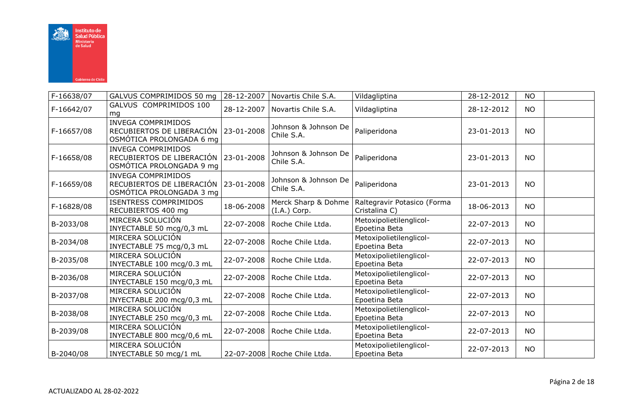

| F-16638/07 | GALVUS COMPRIMIDOS 50 mg                                                                        | 28-12-2007 | Novartis Chile S.A.                   | Vildagliptina                                | 28-12-2012 | <b>NO</b> |  |
|------------|-------------------------------------------------------------------------------------------------|------------|---------------------------------------|----------------------------------------------|------------|-----------|--|
| F-16642/07 | GALVUS COMPRIMIDOS 100<br>mq                                                                    | 28-12-2007 | Novartis Chile S.A.                   | Vildagliptina                                | 28-12-2012 | <b>NO</b> |  |
| F-16657/08 | INVEGA COMPRIMIDOS<br>RECUBIERTOS DE LIBERACIÓN 23-01-2008<br>OSMÓTICA PROLONGADA 6 mg          |            | Johnson & Johnson De<br>Chile S.A.    | Paliperidona                                 | 23-01-2013 | <b>NO</b> |  |
| F-16658/08 | <b>INVEGA COMPRIMIDOS</b><br>RECUBIERTOS DE LIBERACIÓN   23-01-2008<br>OSMÓTICA PROLONGADA 9 mg |            | Johnson & Johnson De<br>Chile S.A.    | Paliperidona                                 | 23-01-2013 | <b>NO</b> |  |
| F-16659/08 | <b>INVEGA COMPRIMIDOS</b><br>RECUBIERTOS DE LIBERACIÓN   23-01-2008<br>OSMÓTICA PROLONGADA 3 mg |            | Johnson & Johnson De<br>Chile S.A.    | Paliperidona                                 | 23-01-2013 | <b>NO</b> |  |
| F-16828/08 | <b>ISENTRESS COMPRIMIDOS</b><br>RECUBIERTOS 400 mg                                              | 18-06-2008 | Merck Sharp & Dohme<br>$(I.A.)$ Corp. | Raltegravir Potasico (Forma<br>Cristalina C) | 18-06-2013 | <b>NO</b> |  |
| B-2033/08  | MIRCERA SOLUCIÓN<br>INYECTABLE 50 mcg/0,3 mL                                                    | 22-07-2008 | Roche Chile Ltda.                     | Metoxipolietilenglicol-<br>Epoetina Beta     | 22-07-2013 | <b>NO</b> |  |
| B-2034/08  | MIRCERA SOLUCIÓN<br>INYECTABLE 75 mcg/0,3 mL                                                    | 22-07-2008 | Roche Chile Ltda.                     | Metoxipolietilenglicol-<br>Epoetina Beta     | 22-07-2013 | <b>NO</b> |  |
| B-2035/08  | MIRCERA SOLUCIÓN<br>INYECTABLE 100 mcg/0.3 mL                                                   | 22-07-2008 | Roche Chile Ltda.                     | Metoxipolietilenglicol-<br>Epoetina Beta     | 22-07-2013 | <b>NO</b> |  |
| B-2036/08  | MIRCERA SOLUCIÓN<br>INYECTABLE 150 mcg/0,3 mL                                                   | 22-07-2008 | Roche Chile Ltda.                     | Metoxipolietilenglicol-<br>Epoetina Beta     | 22-07-2013 | <b>NO</b> |  |
| B-2037/08  | MIRCERA SOLUCIÓN<br>INYECTABLE 200 mcg/0,3 mL                                                   | 22-07-2008 | Roche Chile Ltda.                     | Metoxipolietilenglicol-<br>Epoetina Beta     | 22-07-2013 | <b>NO</b> |  |
| B-2038/08  | MIRCERA SOLUCIÓN<br>INYECTABLE 250 mcg/0,3 mL                                                   | 22-07-2008 | Roche Chile Ltda.                     | Metoxipolietilenglicol-<br>Epoetina Beta     | 22-07-2013 | <b>NO</b> |  |
| B-2039/08  | MIRCERA SOLUCIÓN<br>INYECTABLE 800 mcg/0,6 mL                                                   | 22-07-2008 | Roche Chile Ltda.                     | Metoxipolietilenglicol-<br>Epoetina Beta     | 22-07-2013 | <b>NO</b> |  |
| B-2040/08  | MIRCERA SOLUCIÓN<br>INYECTABLE 50 mcg/1 mL                                                      |            | 22-07-2008   Roche Chile Ltda.        | Metoxipolietilenglicol-<br>Epoetina Beta     | 22-07-2013 | <b>NO</b> |  |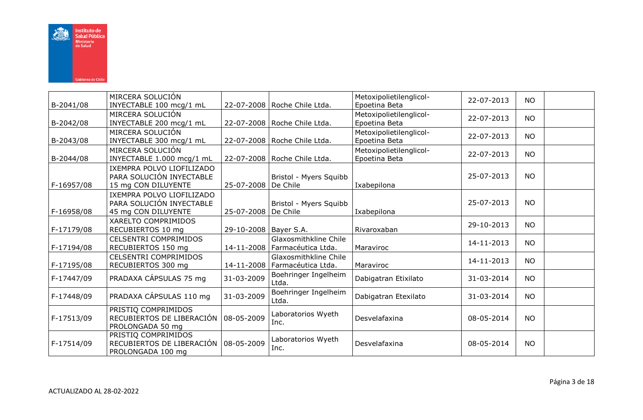

| B-2041/08  | MIRCERA SOLUCIÓN<br>INYECTABLE 100 mcg/1 mL                                        |                         | 22-07-2008   Roche Chile Ltda.              | Metoxipolietilenglicol-<br>Epoetina Beta | 22-07-2013 | <b>NO</b> |  |
|------------|------------------------------------------------------------------------------------|-------------------------|---------------------------------------------|------------------------------------------|------------|-----------|--|
| B-2042/08  | MIRCERA SOLUCIÓN<br>INYECTABLE 200 mcg/1 mL                                        |                         | 22-07-2008   Roche Chile Ltda.              | Metoxipolietilenglicol-<br>Epoetina Beta | 22-07-2013 | <b>NO</b> |  |
| B-2043/08  | MIRCERA SOLUCIÓN<br>INYECTABLE 300 mcg/1 mL                                        |                         | 22-07-2008   Roche Chile Ltda.              | Metoxipolietilenglicol-<br>Epoetina Beta | 22-07-2013 | <b>NO</b> |  |
| B-2044/08  | MIRCERA SOLUCIÓN<br>INYECTABLE 1.000 mcg/1 mL                                      |                         | 22-07-2008   Roche Chile Ltda.              | Metoxipolietilenglicol-<br>Epoetina Beta | 22-07-2013 | <b>NO</b> |  |
| F-16957/08 | IXEMPRA POLVO LIOFILIZADO<br>PARA SOLUCIÓN INYECTABLE<br>15 mg CON DILUYENTE       | 25-07-2008              | Bristol - Myers Squibb<br>De Chile          | Ixabepilona                              | 25-07-2013 | <b>NO</b> |  |
| F-16958/08 | IXEMPRA POLVO LIOFILIZADO<br>PARA SOLUCIÓN INYECTABLE<br>45 mg CON DILUYENTE       | 25-07-2008              | Bristol - Myers Squibb<br>De Chile          | Ixabepilona                              | 25-07-2013 | <b>NO</b> |  |
| F-17179/08 | XARELTO COMPRIMIDOS<br>RECUBIERTOS 10 mg                                           | 29-10-2008   Bayer S.A. |                                             | Rivaroxaban                              | 29-10-2013 | <b>NO</b> |  |
| F-17194/08 | <b>CELSENTRI COMPRIMIDOS</b><br>RECUBIERTOS 150 mg                                 | 14-11-2008              | Glaxosmithkline Chile<br>Farmacéutica Ltda. | Maraviroc                                | 14-11-2013 | <b>NO</b> |  |
| F-17195/08 | <b>CELSENTRI COMPRIMIDOS</b><br>RECUBIERTOS 300 mg                                 | 14-11-2008              | Glaxosmithkline Chile<br>Farmacéutica Ltda. | Maraviroc                                | 14-11-2013 | <b>NO</b> |  |
| F-17447/09 | PRADAXA CÁPSULAS 75 mg                                                             | 31-03-2009              | Boehringer Ingelheim<br>Ltda.               | Dabigatran Etixilato                     | 31-03-2014 | <b>NO</b> |  |
| F-17448/09 | PRADAXA CÁPSULAS 110 mg                                                            | 31-03-2009              | Boehringer Ingelheim<br>Ltda.               | Dabigatran Etexilato                     | 31-03-2014 | <b>NO</b> |  |
| F-17513/09 | PRISTIQ COMPRIMIDOS<br>RECUBIERTOS DE LIBERACIÓN   08-05-2009<br>PROLONGADA 50 mq  |                         | Laboratorios Wyeth<br>Inc.                  | Desvelafaxina                            | 08-05-2014 | <b>NO</b> |  |
| F-17514/09 | PRISTIQ COMPRIMIDOS<br>RECUBIERTOS DE LIBERACIÓN   08-05-2009<br>PROLONGADA 100 mg |                         | Laboratorios Wyeth<br>Inc.                  | Desvelafaxina                            | 08-05-2014 | <b>NO</b> |  |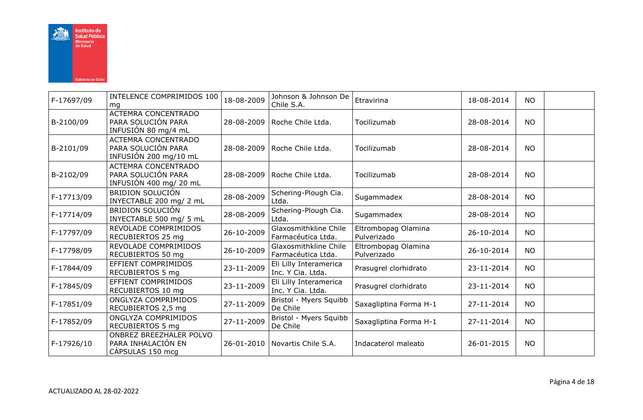

| F-17697/09 | INTELENCE COMPRIMIDOS 100<br>mg                                            | 18-08-2009 | Johnson & Johnson De<br>Chile S.A.          | Etravirina                         | 18-08-2014 | <b>NO</b> |  |
|------------|----------------------------------------------------------------------------|------------|---------------------------------------------|------------------------------------|------------|-----------|--|
| B-2100/09  | <b>ACTEMRA CONCENTRADO</b><br>PARA SOLUCIÓN PARA<br>INFUSIÓN 80 mg/4 mL    | 28-08-2009 | Roche Chile Ltda.                           | Tocilizumab                        | 28-08-2014 | <b>NO</b> |  |
| B-2101/09  | <b>ACTEMRA CONCENTRADO</b><br>PARA SOLUCIÓN PARA<br>INFUSIÓN 200 mg/10 mL  | 28-08-2009 | Roche Chile Ltda.                           | Tocilizumab                        | 28-08-2014 | <b>NO</b> |  |
| B-2102/09  | <b>ACTEMRA CONCENTRADO</b><br>PARA SOLUCIÓN PARA<br>INFUSIÓN 400 mg/ 20 mL | 28-08-2009 | Roche Chile Ltda.                           | Tocilizumab                        | 28-08-2014 | <b>NO</b> |  |
| F-17713/09 | <b>BRIDION SOLUCIÓN</b><br>INYECTABLE 200 mg/ 2 mL                         | 28-08-2009 | Schering-Plough Cia.<br>Ltda.               | Sugammadex                         | 28-08-2014 | <b>NO</b> |  |
| F-17714/09 | <b>BRIDION SOLUCIÓN</b><br>INYECTABLE 500 mg/ 5 mL                         | 28-08-2009 | Schering-Plough Cia.<br>Ltda.               | Sugammadex                         | 28-08-2014 | <b>NO</b> |  |
| F-17797/09 | REVOLADE COMPRIMIDOS<br>RECUBIERTOS 25 mg                                  | 26-10-2009 | Glaxosmithkline Chile<br>Farmacéutica Ltda. | Eltrombopag Olamina<br>Pulverizado | 26-10-2014 | <b>NO</b> |  |
| F-17798/09 | REVOLADE COMPRIMIDOS<br>RECUBIERTOS 50 mg                                  | 26-10-2009 | Glaxosmithkline Chile<br>Farmacéutica Ltda. | Eltrombopag Olamina<br>Pulverizado | 26-10-2014 | <b>NO</b> |  |
| F-17844/09 | EFFIENT COMPRIMIDOS<br>RECUBIERTOS 5 mg                                    | 23-11-2009 | Eli Lilly Interamerica<br>Inc. Y Cia. Ltda. | Prasugrel clorhidrato              | 23-11-2014 | <b>NO</b> |  |
| F-17845/09 | EFFIENT COMPRIMIDOS<br>RECUBIERTOS 10 mg                                   | 23-11-2009 | Eli Lilly Interamerica<br>Inc. Y Cia. Ltda. | Prasugrel clorhidrato              | 23-11-2014 | <b>NO</b> |  |
| F-17851/09 | ONGLYZA COMPRIMIDOS<br>RECUBIERTOS 2,5 mg                                  | 27-11-2009 | Bristol - Myers Squibb<br>De Chile          | Saxagliptina Forma H-1             | 27-11-2014 | <b>NO</b> |  |
| F-17852/09 | ONGLYZA COMPRIMIDOS<br>RECUBIERTOS 5 mg                                    | 27-11-2009 | Bristol - Myers Squibb<br>De Chile          | Saxagliptina Forma H-1             | 27-11-2014 | <b>NO</b> |  |
| F-17926/10 | ONBREZ BREEZHALER POLVO<br>PARA INHALACIÓN EN<br>CÁPSULAS 150 mcg          | 26-01-2010 | Novartis Chile S.A.                         | Indacaterol maleato                | 26-01-2015 | <b>NO</b> |  |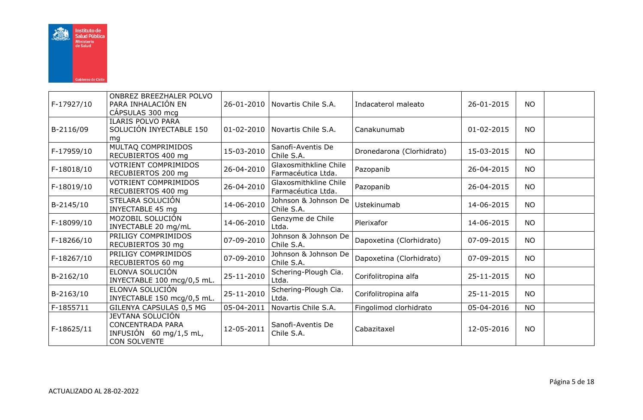

| F-17927/10 | ONBREZ BREEZHALER POLVO<br>PARA INHALACIÓN EN<br>CÁPSULAS 300 mcg                            | 26-01-2010       | Novartis Chile S.A.                         | Indacaterol maleato       | 26-01-2015 | <b>NO</b> |  |
|------------|----------------------------------------------------------------------------------------------|------------------|---------------------------------------------|---------------------------|------------|-----------|--|
| B-2116/09  | <b>ILARIS POLVO PARA</b><br>SOLUCIÓN INYECTABLE 150<br>mg                                    | $01 - 02 - 2010$ | Novartis Chile S.A.                         | Canakunumab               | 01-02-2015 | NO.       |  |
| F-17959/10 | MULTAQ COMPRIMIDOS<br>RECUBIERTOS 400 mg                                                     | 15-03-2010       | Sanofi-Aventis De<br>Chile S.A.             | Dronedarona (Clorhidrato) | 15-03-2015 | <b>NO</b> |  |
| F-18018/10 | <b>VOTRIENT COMPRIMIDOS</b><br>RECUBIERTOS 200 mg                                            | 26-04-2010       | Glaxosmithkline Chile<br>Farmacéutica Ltda. | Pazopanib                 | 26-04-2015 | <b>NO</b> |  |
| F-18019/10 | <b>VOTRIENT COMPRIMIDOS</b><br>RECUBIERTOS 400 mg                                            | 26-04-2010       | Glaxosmithkline Chile<br>Farmacéutica Ltda. | Pazopanib                 | 26-04-2015 | <b>NO</b> |  |
| B-2145/10  | STELARA SOLUCIÓN<br><b>INYECTABLE 45 mg</b>                                                  | 14-06-2010       | Johnson & Johnson De<br>Chile S.A.          | Ustekinumab               | 14-06-2015 | <b>NO</b> |  |
| F-18099/10 | MOZOBIL SOLUCIÓN<br>INYECTABLE 20 mg/mL                                                      | 14-06-2010       | Genzyme de Chile<br>Ltda.                   | Plerixafor                | 14-06-2015 | <b>NO</b> |  |
| F-18266/10 | PRILIGY COMPRIMIDOS<br>RECUBIERTOS 30 mg                                                     | 07-09-2010       | Johnson & Johnson De<br>Chile S.A.          | Dapoxetina (Clorhidrato)  | 07-09-2015 | <b>NO</b> |  |
| F-18267/10 | PRILIGY COMPRIMIDOS<br>RECUBIERTOS 60 mg                                                     | 07-09-2010       | Johnson & Johnson De<br>Chile S.A.          | Dapoxetina (Clorhidrato)  | 07-09-2015 | <b>NO</b> |  |
| B-2162/10  | ELONVA SOLUCIÓN<br>INYECTABLE 100 mcg/0,5 mL.                                                | 25-11-2010       | Schering-Plough Cia.<br>Ltda.               | Corifolitropina alfa      | 25-11-2015 | <b>NO</b> |  |
| B-2163/10  | ELONVA SOLUCIÓN<br>INYECTABLE 150 mcg/0,5 mL.                                                | 25-11-2010       | Schering-Plough Cia.<br>Ltda.               | Corifolitropina alfa      | 25-11-2015 | <b>NO</b> |  |
| F-1855711  | GILENYA CAPSULAS 0,5 MG                                                                      | 05-04-2011       | Novartis Chile S.A.                         | Fingolimod clorhidrato    | 05-04-2016 | <b>NO</b> |  |
| F-18625/11 | <b>JEVTANA SOLUCIÓN</b><br><b>CONCENTRADA PARA</b><br>INFUSIÓN 60 mg/1,5 mL,<br>CON SOLVENTE | 12-05-2011       | Sanofi-Aventis De<br>Chile S.A.             | Cabazitaxel               | 12-05-2016 | <b>NO</b> |  |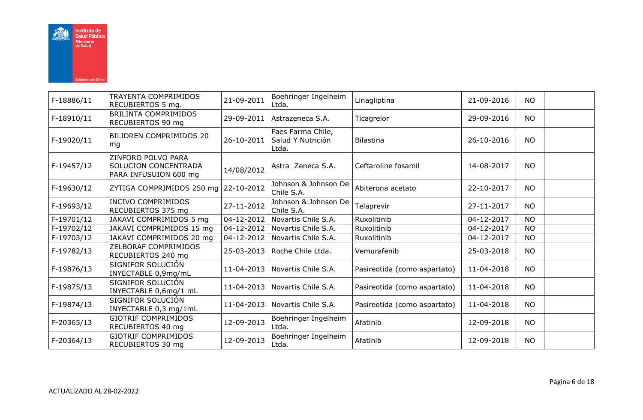

| F-18886/11 | TRAYENTA COMPRIMIDOS<br>RECUBIERTOS 5 mg.                           | 21-09-2011               | Boehringer Ingelheim<br>Ltda.                   | Linagliptina                 | 21-09-2016 | <b>NO</b> |  |
|------------|---------------------------------------------------------------------|--------------------------|-------------------------------------------------|------------------------------|------------|-----------|--|
| F-18910/11 | BRILINTA COMPRIMIDOS<br>RECUBIERTOS 90 mg                           | 29-09-2011               | Astrazeneca S.A.                                | Ticagrelor                   | 29-09-2016 | <b>NO</b> |  |
| F-19020/11 | BILIDREN COMPRIMIDOS 20<br>mg                                       | 26-10-2011               | Faes Farma Chile,<br>Salud Y Nutrición<br>Ltda. | <b>Bilastina</b>             | 26-10-2016 | <b>NO</b> |  |
| F-19457/12 | ZINFORO POLVO PARA<br>SOLUCION CONCENTRADA<br>PARA INFUSUION 600 mg | 14/08/2012               | Astra Zeneca S.A.                               | Ceftaroline fosamil          | 14-08-2017 | NO.       |  |
| F-19630/12 | ZYTIGA COMPRIMIDOS 250 mg 22-10-2012                                |                          | Johnson & Johnson De<br>Chile S.A.              | Abiterona acetato            | 22-10-2017 | <b>NO</b> |  |
| F-19693/12 | <b>INCIVO COMPRIMIDOS</b><br>RECUBIERTOS 375 mg                     | 27-11-2012               | Johnson & Johnson De<br>Chile S.A.              | Telaprevir                   | 27-11-2017 | <b>NO</b> |  |
| F-19701/12 | JAKAVI COMPRIMIDOS 5 mg                                             | $\overline{0}$ 4-12-2012 | Novartis Chile S.A.                             | Ruxolitinib                  | 04-12-2017 | <b>NO</b> |  |
| F-19702/12 | JAKAVI COMPRIMIDOS 15 mg                                            | 04-12-2012               | Novartis Chile S.A.                             | Ruxolitinib                  | 04-12-2017 | <b>NO</b> |  |
| F-19703/12 | JAKAVI COMPRIMIDOS 20 mg                                            | 04-12-2012               | Novartis Chile S.A.                             | Ruxolitinib                  | 04-12-2017 | <b>NO</b> |  |
| F-19782/13 | ZELBORAF COMPRIMIDOS<br>RECUBIERTOS 240 mg                          | 25-03-2013               | Roche Chile Ltda.                               | Vemurafenib                  | 25-03-2018 | <b>NO</b> |  |
| F-19876/13 | SIGNIFOR SOLUCIÓN<br>INYECTABLE 0,9mg/mL                            | 11-04-2013               | Novartis Chile S.A.                             | Pasireotida (como aspartato) | 11-04-2018 | <b>NO</b> |  |
| F-19875/13 | SIGNIFOR SOLUCIÓN<br>INYECTABLE 0,6mg/1 mL                          | 11-04-2013               | Novartis Chile S.A.                             | Pasireotida (como aspartato) | 11-04-2018 | <b>NO</b> |  |
| F-19874/13 | SIGNIFOR SOLUCIÓN<br>INYECTABLE 0,3 mg/1mL                          | 11-04-2013               | Novartis Chile S.A.                             | Pasireotida (como aspartato) | 11-04-2018 | <b>NO</b> |  |
| F-20365/13 | <b>GIOTRIF COMPRIMIDOS</b><br>RECUBIERTOS 40 mg                     | 12-09-2013               | Boehringer Ingelheim<br>Ltda.                   | Afatinib                     | 12-09-2018 | <b>NO</b> |  |
| F-20364/13 | <b>GIOTRIF COMPRIMIDOS</b><br>RECUBIERTOS 30 mg                     | 12-09-2013               | Boehringer Ingelheim<br>Ltda.                   | Afatinib                     | 12-09-2018 | <b>NO</b> |  |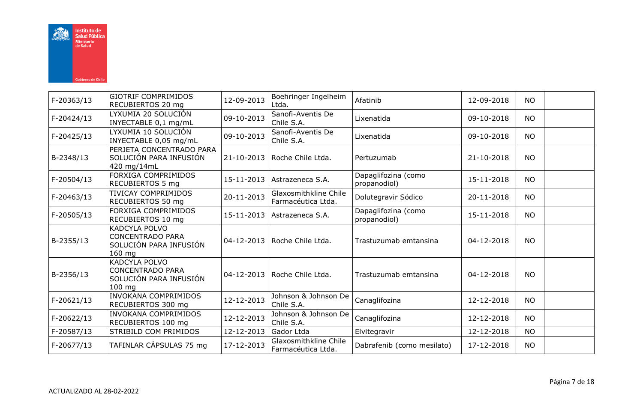

| F-20363/13 | <b>GIOTRIF COMPRIMIDOS</b><br>RECUBIERTOS 20 mg                                       | 12-09-2013 | Boehringer Ingelheim<br>Ltda.               | Afatinib                            | 12-09-2018 | <b>NO</b> |  |
|------------|---------------------------------------------------------------------------------------|------------|---------------------------------------------|-------------------------------------|------------|-----------|--|
| F-20424/13 | LYXUMIA 20 SOLUCIÓN<br>INYECTABLE 0,1 mg/mL                                           | 09-10-2013 | Sanofi-Aventis De<br>Chile S.A.             | Lixenatida                          | 09-10-2018 | <b>NO</b> |  |
| F-20425/13 | LYXUMIA 10 SOLUCIÓN<br>INYECTABLE 0,05 mg/mL                                          | 09-10-2013 | Sanofi-Aventis De<br>Chile S.A.             | Lixenatida                          | 09-10-2018 | <b>NO</b> |  |
| B-2348/13  | PERJETA CONCENTRADO PARA<br>SOLUCIÓN PARA INFUSIÓN<br>420 mg/14mL                     | 21-10-2013 | Roche Chile Ltda.                           | Pertuzumab                          | 21-10-2018 | <b>NO</b> |  |
| F-20504/13 | <b>FORXIGA COMPRIMIDOS</b><br>RECUBIERTOS 5 mg                                        | 15-11-2013 | Astrazeneca S.A.                            | Dapaglifozina (como<br>propanodiol) | 15-11-2018 | <b>NO</b> |  |
| F-20463/13 | <b>TIVICAY COMPRIMIDOS</b><br>RECUBIERTOS 50 mg                                       | 20-11-2013 | Glaxosmithkline Chile<br>Farmacéutica Ltda. | Dolutegravir Sódico                 | 20-11-2018 | <b>NO</b> |  |
| F-20505/13 | <b>FORXIGA COMPRIMIDOS</b><br>RECUBIERTOS 10 mg                                       | 15-11-2013 | Astrazeneca S.A.                            | Dapaglifozina (como<br>propanodiol) | 15-11-2018 | <b>NO</b> |  |
| B-2355/13  | KADCYLA POLVO<br><b>CONCENTRADO PARA</b><br>SOLUCIÓN PARA INFUSIÓN<br>$160$ mg        | 04-12-2013 | Roche Chile Ltda.                           | Trastuzumab emtansina               | 04-12-2018 | <b>NO</b> |  |
| B-2356/13  | <b>KADCYLA POLVO</b><br><b>CONCENTRADO PARA</b><br>SOLUCIÓN PARA INFUSIÓN<br>$100$ mg | 04-12-2013 | Roche Chile Ltda.                           | Trastuzumab emtansina               | 04-12-2018 | <b>NO</b> |  |
| F-20621/13 | <b>INVOKANA COMPRIMIDOS</b><br>RECUBIERTOS 300 mg                                     | 12-12-2013 | Johnson & Johnson De<br>Chile S.A.          | Canaglifozina                       | 12-12-2018 | <b>NO</b> |  |
| F-20622/13 | <b>INVOKANA COMPRIMIDOS</b><br>RECUBIERTOS 100 mg                                     | 12-12-2013 | Johnson & Johnson De<br>Chile S.A.          | Canaglifozina                       | 12-12-2018 | <b>NO</b> |  |
| F-20587/13 | STRIBILD COM PRIMIDOS                                                                 | 12-12-2013 | Gador Ltda                                  | Elvitegravir                        | 12-12-2018 | <b>NO</b> |  |
| F-20677/13 | TAFINLAR CÁPSULAS 75 mg                                                               | 17-12-2013 | Glaxosmithkline Chile<br>Farmacéutica Ltda. | Dabrafenib (como mesilato)          | 17-12-2018 | <b>NO</b> |  |
|            |                                                                                       |            |                                             |                                     |            |           |  |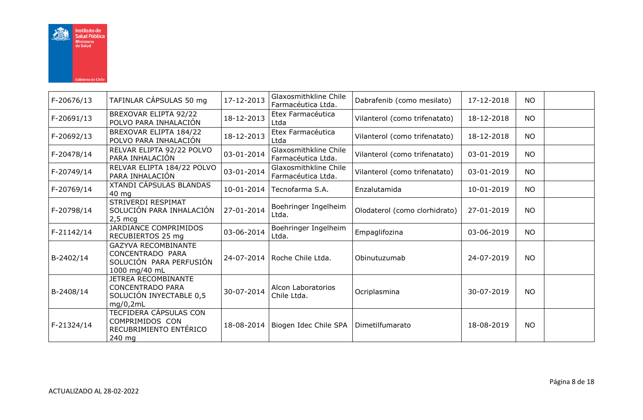

| F-20676/13 | TAFINLAR CÁPSULAS 50 mg                                                                      | 17-12-2013 | Glaxosmithkline Chile<br>Farmacéutica Ltda. | Dabrafenib (como mesilato)    | 17-12-2018 | <b>NO</b> |  |
|------------|----------------------------------------------------------------------------------------------|------------|---------------------------------------------|-------------------------------|------------|-----------|--|
| F-20691/13 | BREXOVAR ELIPTA 92/22<br>POLVO PARA INHALACIÓN                                               | 18-12-2013 | Etex Farmacéutica<br>Ltda                   | Vilanterol (como trifenatato) | 18-12-2018 | <b>NO</b> |  |
| F-20692/13 | BREXOVAR ELIPTA 184/22<br>POLVO PARA INHALACIÓN                                              | 18-12-2013 | Etex Farmacéutica<br>Ltda                   | Vilanterol (como trifenatato) | 18-12-2018 | <b>NO</b> |  |
| F-20478/14 | RELVAR ELIPTA 92/22 POLVO<br>PARA INHALACIÓN                                                 | 03-01-2014 | Glaxosmithkline Chile<br>Farmacéutica Ltda. | Vilanterol (como trifenatato) | 03-01-2019 | <b>NO</b> |  |
| F-20749/14 | RELVAR ELIPTA 184/22 POLVO<br>PARA INHALACIÓN                                                | 03-01-2014 | Glaxosmithkline Chile<br>Farmacéutica Ltda. | Vilanterol (como trifenatato) | 03-01-2019 | <b>NO</b> |  |
| F-20769/14 | <b>XTANDI CÁPSULAS BLANDAS</b><br>40 mg                                                      | 10-01-2014 | Tecnofarma S.A.                             | Enzalutamida                  | 10-01-2019 | <b>NO</b> |  |
| F-20798/14 | STRIVERDI RESPIMAT<br>SOLUCIÓN PARA INHALACIÓN<br>$2,5 \text{ mcq}$                          | 27-01-2014 | Boehringer Ingelheim<br>Ltda.               | Olodaterol (como clorhidrato) | 27-01-2019 | NO.       |  |
| F-21142/14 | JARDIANCE COMPRIMIDOS<br>RECUBIERTOS 25 mg                                                   | 03-06-2014 | Boehringer Ingelheim<br>Ltda.               | Empaglifozina                 | 03-06-2019 | <b>NO</b> |  |
| B-2402/14  | <b>GAZYVA RECOMBINANTE</b><br>CONCENTRADO PARA<br>SOLUCIÓN PARA PERFUSIÓN<br>1000 mg/40 mL   |            | 24-07-2014   Roche Chile Ltda.              | Obinutuzumab                  | 24-07-2019 | <b>NO</b> |  |
| B-2408/14  | <b>JETREA RECOMBINANTE</b><br><b>CONCENTRADO PARA</b><br>SOLUCIÓN INYECTABLE 0,5<br>mg/0,2mL | 30-07-2014 | Alcon Laboratorios<br>Chile Ltda.           | Ocriplasmina                  | 30-07-2019 | <b>NO</b> |  |
| F-21324/14 | TECFIDERA CÁPSULAS CON<br>COMPRIMIDOS CON<br>RECUBRIMIENTO ENTÉRICO<br>240 mg                | 18-08-2014 | Biogen Idec Chile SPA                       | Dimetilfumarato               | 18-08-2019 | <b>NO</b> |  |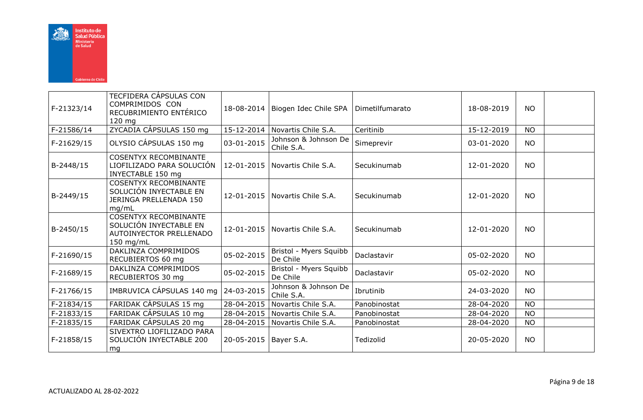

| F-21323/14 | TECFIDERA CÁPSULAS CON<br>COMPRIMIDOS CON<br>RECUBRIMIENTO ENTÉRICO<br>120 mg                  | 18-08-2014 | Biogen Idec Chile SPA              | Dimetilfumarato | 18-08-2019 | <b>NO</b> |  |
|------------|------------------------------------------------------------------------------------------------|------------|------------------------------------|-----------------|------------|-----------|--|
| F-21586/14 | ZYCADIA CÁPSULAS 150 mg                                                                        |            | 15-12-2014   Novartis Chile S.A.   | Ceritinib       | 15-12-2019 | <b>NO</b> |  |
| F-21629/15 | OLYSIO CÁPSULAS 150 mg                                                                         | 03-01-2015 | Johnson & Johnson De<br>Chile S.A. | Simeprevir      | 03-01-2020 | <b>NO</b> |  |
| B-2448/15  | <b>COSENTYX RECOMBINANTE</b><br>LIOFILIZADO PARA SOLUCIÓN<br>INYECTABLE 150 mg                 | 12-01-2015 | Novartis Chile S.A.                | Secukinumab     | 12-01-2020 | <b>NO</b> |  |
| B-2449/15  | <b>COSENTYX RECOMBINANTE</b><br>SOLUCIÓN INYECTABLE EN<br>JERINGA PRELLENADA 150<br>mg/mL      |            | 12-01-2015 Novartis Chile S.A.     | Secukinumab     | 12-01-2020 | <b>NO</b> |  |
| B-2450/15  | <b>COSENTYX RECOMBINANTE</b><br>SOLUCIÓN INYECTABLE EN<br>AUTOINYECTOR PRELLENADO<br>150 mg/mL | 12-01-2015 | Novartis Chile S.A.                | Secukinumab     | 12-01-2020 | <b>NO</b> |  |
| F-21690/15 | DAKLINZA COMPRIMIDOS<br>RECUBIERTOS 60 mg                                                      | 05-02-2015 | Bristol - Myers Squibb<br>De Chile | Daclastavir     | 05-02-2020 | <b>NO</b> |  |
| F-21689/15 | DAKLINZA COMPRIMIDOS<br>RECUBIERTOS 30 mg                                                      | 05-02-2015 | Bristol - Myers Squibb<br>De Chile | Daclastavir     | 05-02-2020 | <b>NO</b> |  |
| F-21766/15 | IMBRUVICA CÁPSULAS 140 mg                                                                      | 24-03-2015 | Johnson & Johnson De<br>Chile S.A. | Ibrutinib       | 24-03-2020 | <b>NO</b> |  |
| F-21834/15 | FARIDAK CÁPSULAS 15 mg                                                                         | 28-04-2015 | Novartis Chile S.A.                | Panobinostat    | 28-04-2020 | <b>NO</b> |  |
| F-21833/15 | FARIDAK CÁPSULAS 10 mg                                                                         | 28-04-2015 | Novartis Chile S.A.                | Panobinostat    | 28-04-2020 | <b>NO</b> |  |
| F-21835/15 | FARIDAK CÁPSULAS 20 mg                                                                         | 28-04-2015 | Novartis Chile S.A.                | Panobinostat    | 28-04-2020 | <b>NO</b> |  |
| F-21858/15 | SIVEXTRO LIOFILIZADO PARA<br>SOLUCIÓN INYECTABLE 200<br>mg                                     | 20-05-2015 | Bayer S.A.                         | Tedizolid       | 20-05-2020 | <b>NO</b> |  |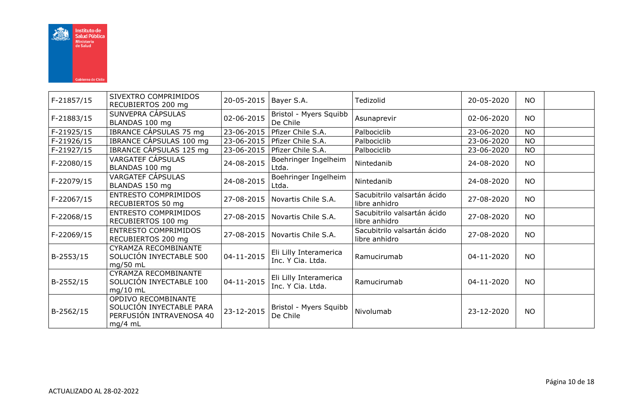

| F-21857/15 | SIVEXTRO COMPRIMIDOS<br>RECUBIERTOS 200 mg                                             | 20-05-2015 | Bayer S.A.                                  | Tedizolid                                    | 20-05-2020 | <b>NO</b> |  |
|------------|----------------------------------------------------------------------------------------|------------|---------------------------------------------|----------------------------------------------|------------|-----------|--|
| F-21883/15 | SUNVEPRA CÁPSULAS<br>BLANDAS 100 mg                                                    | 02-06-2015 | Bristol - Myers Squibb<br>De Chile          | Asunaprevir                                  | 02-06-2020 | <b>NO</b> |  |
| F-21925/15 | IBRANCE CÁPSULAS 75 mg                                                                 | 23-06-2015 | Pfizer Chile S.A.                           | Palbociclib                                  | 23-06-2020 | <b>NO</b> |  |
| F-21926/15 | IBRANCE CÁPSULAS 100 mg                                                                | 23-06-2015 | Pfizer Chile S.A.                           | Palbociclib                                  | 23-06-2020 | <b>NO</b> |  |
| F-21927/15 | IBRANCE CÁPSULAS 125 mg                                                                | 23-06-2015 | Pfizer Chile S.A.                           | Palbociclib                                  | 23-06-2020 | <b>NO</b> |  |
| F-22080/15 | VARGATEF CÁPSULAS<br>BLANDAS 100 mg                                                    | 24-08-2015 | Boehringer Ingelheim<br>Ltda.               | Nintedanib                                   | 24-08-2020 | <b>NO</b> |  |
| F-22079/15 | VARGATEF CÁPSULAS<br>BLANDAS 150 mg                                                    | 24-08-2015 | Boehringer Ingelheim<br>Ltda.               | Nintedanib                                   | 24-08-2020 | <b>NO</b> |  |
| F-22067/15 | <b>ENTRESTO COMPRIMIDOS</b><br>RECUBIERTOS 50 mg                                       | 27-08-2015 | Novartis Chile S.A.                         | Sacubitrilo valsartán ácido<br>libre anhidro | 27-08-2020 | <b>NO</b> |  |
| F-22068/15 | <b>ENTRESTO COMPRIMIDOS</b><br>RECUBIERTOS 100 mg                                      | 27-08-2015 | Novartis Chile S.A.                         | Sacubitrilo valsartán ácido<br>libre anhidro | 27-08-2020 | <b>NO</b> |  |
| F-22069/15 | <b>ENTRESTO COMPRIMIDOS</b><br>RECUBIERTOS 200 mg                                      | 27-08-2015 | Novartis Chile S.A.                         | Sacubitrilo valsartán ácido<br>libre anhidro | 27-08-2020 | <b>NO</b> |  |
| B-2553/15  | CYRAMZA RECOMBINANTE<br>SOLUCIÓN INYECTABLE 500<br>$mg/50$ mL                          | 04-11-2015 | Eli Lilly Interamerica<br>Inc. Y Cia. Ltda. | Ramucirumab                                  | 04-11-2020 | <b>NO</b> |  |
| B-2552/15  | CYRAMZA RECOMBINANTE<br>SOLUCIÓN INYECTABLE 100<br>$mg/10$ mL                          | 04-11-2015 | Eli Lilly Interamerica<br>Inc. Y Cia. Ltda. | Ramucirumab                                  | 04-11-2020 | <b>NO</b> |  |
| B-2562/15  | OPDIVO RECOMBINANTE<br>SOLUCIÓN INYECTABLE PARA<br>PERFUSIÓN INTRAVENOSA 40<br>mg/4 mL | 23-12-2015 | Bristol - Myers Squibb<br>De Chile          | Nivolumab                                    | 23-12-2020 | <b>NO</b> |  |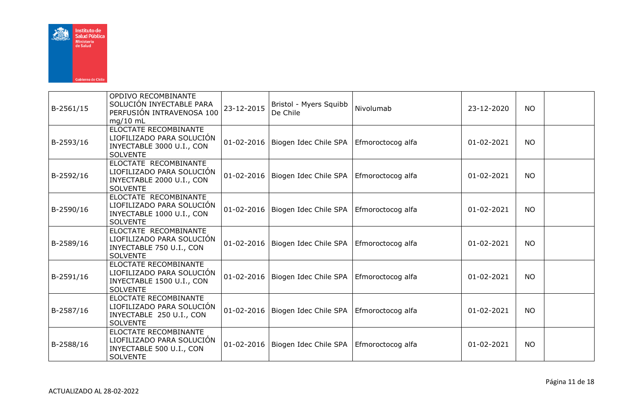

| B-2561/15 | OPDIVO RECOMBINANTE<br>SOLUCIÓN INYECTABLE PARA<br>PERFUSIÓN INTRAVENOSA 100<br>$mg/10$ mL                | 23-12-2015       | Bristol - Myers Squibb<br>De Chile                     | Nivolumab | 23-12-2020 | <b>NO</b> |  |
|-----------|-----------------------------------------------------------------------------------------------------------|------------------|--------------------------------------------------------|-----------|------------|-----------|--|
| B-2593/16 | ELOCTATE RECOMBINANTE<br>LIOFILIZADO PARA SOLUCIÓN<br>INYECTABLE 3000 U.I., CON<br><b>SOLVENTE</b>        | $01 - 02 - 2016$ | Biogen Idec Chile SPA   Efmoroctocog alfa              |           | 01-02-2021 | <b>NO</b> |  |
| B-2592/16 | ELOCTATE RECOMBINANTE<br>LIOFILIZADO PARA SOLUCIÓN<br>INYECTABLE 2000 U.I., CON<br><b>SOLVENTE</b>        |                  | 01-02-2016   Biogen Idec Chile SPA   Efmoroctocog alfa |           | 01-02-2021 | <b>NO</b> |  |
| B-2590/16 | ELOCTATE RECOMBINANTE<br>LIOFILIZADO PARA SOLUCIÓN<br>INYECTABLE 1000 U.I., CON<br><b>SOLVENTE</b>        |                  | 01-02-2016   Biogen Idec Chile SPA   Efmoroctocog alfa |           | 01-02-2021 | <b>NO</b> |  |
| B-2589/16 | ELOCTATE RECOMBINANTE<br>LIOFILIZADO PARA SOLUCIÓN<br>INYECTABLE 750 U.I., CON<br><b>SOLVENTE</b>         |                  | 01-02-2016   Biogen Idec Chile SPA   Efmoroctocog alfa |           | 01-02-2021 | <b>NO</b> |  |
| B-2591/16 | <b>ELOCTATE RECOMBINANTE</b><br>LIOFILIZADO PARA SOLUCIÓN<br>INYECTABLE 1500 U.I., CON<br><b>SOLVENTE</b> | $01 - 02 - 2016$ | Biogen Idec Chile SPA   Efmoroctocog alfa              |           | 01-02-2021 | <b>NO</b> |  |
| B-2587/16 | ELOCTATE RECOMBINANTE<br>LIOFILIZADO PARA SOLUCIÓN<br>INYECTABLE 250 U.I., CON<br><b>SOLVENTE</b>         |                  | 01-02-2016   Biogen Idec Chile SPA   Efmoroctocog alfa |           | 01-02-2021 | NO.       |  |
| B-2588/16 | ELOCTATE RECOMBINANTE<br>LIOFILIZADO PARA SOLUCIÓN<br>INYECTABLE 500 U.I., CON<br><b>SOLVENTE</b>         |                  | 01-02-2016   Biogen Idec Chile SPA   Efmoroctocog alfa |           | 01-02-2021 | NO.       |  |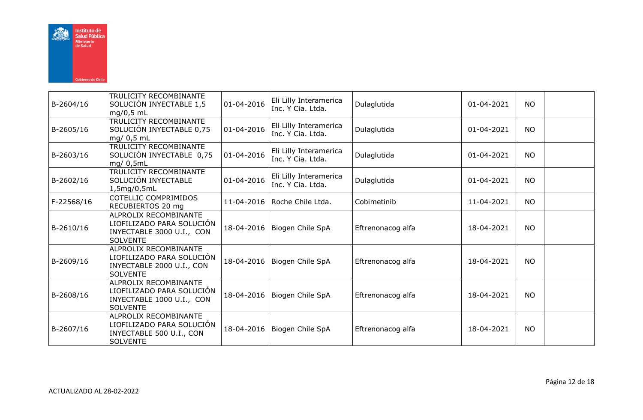

|            | TRULICITY RECOMBINANTE                        |                  | Eli Lilly Interamerica        |                   |            |           |  |
|------------|-----------------------------------------------|------------------|-------------------------------|-------------------|------------|-----------|--|
| B-2604/16  | SOLUCIÓN INYECTABLE 1,5<br>$mg/0.5$ mL        | 01-04-2016       | Inc. Y Cia. Ltda.             | Dulaglutida       | 01-04-2021 | <b>NO</b> |  |
|            | TRULICITY RECOMBINANTE                        |                  | Eli Lilly Interamerica        |                   |            |           |  |
| B-2605/16  | SOLUCIÓN INYECTABLE 0,75<br>mg/ 0,5 mL        | $01 - 04 - 2016$ | Inc. Y Cia. Ltda.             | Dulaglutida       | 01-04-2021 | <b>NO</b> |  |
|            | TRULICITY RECOMBINANTE                        |                  | Eli Lilly Interamerica        |                   |            |           |  |
| B-2603/16  | SOLUCIÓN INYECTABLE 0,75<br>mg/0,5mL          | 01-04-2016       | Inc. Y Cia. Ltda.             | Dulaglutida       | 01-04-2021 | <b>NO</b> |  |
| B-2602/16  | TRULICITY RECOMBINANTE<br>SOLUCIÓN INYECTABLE | 01-04-2016       | Eli Lilly Interamerica        | Dulaglutida       | 01-04-2021 | <b>NO</b> |  |
|            | 1,5mg/0,5mL                                   |                  | Inc. Y Cia. Ltda.             |                   |            |           |  |
| F-22568/16 | <b>COTELLIC COMPRIMIDOS</b>                   | 11-04-2016       | Roche Chile Ltda.             | Cobimetinib       | 11-04-2021 | <b>NO</b> |  |
|            | RECUBIERTOS 20 mg                             |                  |                               |                   |            |           |  |
|            | ALPROLIX RECOMBINANTE                         |                  |                               |                   |            |           |  |
| B-2610/16  | LIOFILIZADO PARA SOLUCIÓN                     | 18-04-2016       | Biogen Chile SpA              | Eftrenonacog alfa | 18-04-2021 | <b>NO</b> |  |
|            | INYECTABLE 3000 U.I., CON<br><b>SOLVENTE</b>  |                  |                               |                   |            |           |  |
|            | ALPROLIX RECOMBINANTE                         |                  |                               |                   |            |           |  |
| B-2609/16  | LIOFILIZADO PARA SOLUCIÓN                     | 18-04-2016       | Biogen Chile SpA              | Eftrenonacog alfa | 18-04-2021 | <b>NO</b> |  |
|            | INYECTABLE 2000 U.I., CON                     |                  |                               |                   |            |           |  |
|            | <b>SOLVENTE</b>                               |                  |                               |                   |            |           |  |
|            | ALPROLIX RECOMBINANTE                         |                  |                               |                   |            |           |  |
| B-2608/16  | LIOFILIZADO PARA SOLUCIÓN                     | 18-04-2016       | Biogen Chile SpA              | Eftrenonacog alfa | 18-04-2021 | <b>NO</b> |  |
|            | INYECTABLE 1000 U.I., CON                     |                  |                               |                   |            |           |  |
|            | <b>SOLVENTE</b>                               |                  |                               |                   |            |           |  |
|            | ALPROLIX RECOMBINANTE                         |                  |                               |                   |            |           |  |
| B-2607/16  | LIOFILIZADO PARA SOLUCIÓN                     |                  | 18-04-2016   Biogen Chile SpA | Eftrenonacog alfa | 18-04-2021 | <b>NO</b> |  |
|            | INYECTABLE 500 U.I., CON<br><b>SOLVENTE</b>   |                  |                               |                   |            |           |  |
|            |                                               |                  |                               |                   |            |           |  |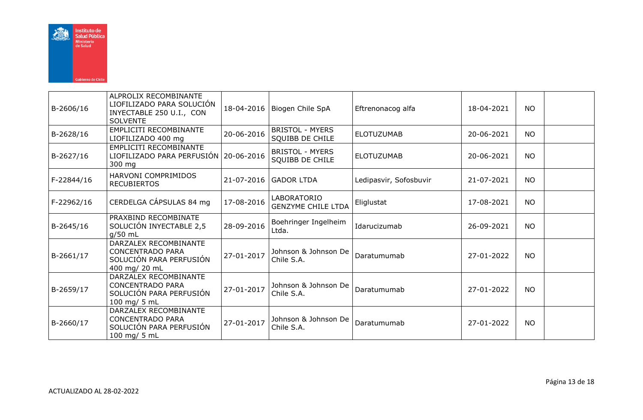

| B-2606/16  | ALPROLIX RECOMBINANTE<br>LIOFILIZADO PARA SOLUCIÓN<br>INYECTABLE 250 U.I., CON<br><b>SOLVENTE</b> | 18-04-2016 | Biogen Chile SpA                                 | Eftrenonacog alfa      | 18-04-2021 | <b>NO</b> |  |
|------------|---------------------------------------------------------------------------------------------------|------------|--------------------------------------------------|------------------------|------------|-----------|--|
| B-2628/16  | EMPLICITI RECOMBINANTE<br>LIOFILIZADO 400 mg                                                      | 20-06-2016 | <b>BRISTOL - MYERS</b><br>SQUIBB DE CHILE        | <b>ELOTUZUMAB</b>      | 20-06-2021 | <b>NO</b> |  |
| B-2627/16  | EMPLICITI RECOMBINANTE<br>LIOFILIZADO PARA PERFUSIÓN   20-06-2016<br>300 mg                       |            | <b>BRISTOL - MYERS</b><br><b>SQUIBB DE CHILE</b> | <b>ELOTUZUMAB</b>      | 20-06-2021 | <b>NO</b> |  |
| F-22844/16 | HARVONI COMPRIMIDOS<br><b>RECUBIERTOS</b>                                                         | 21-07-2016 | <b>GADOR LTDA</b>                                | Ledipasvir, Sofosbuvir | 21-07-2021 | <b>NO</b> |  |
| F-22962/16 | CERDELGA CÁPSULAS 84 mg                                                                           | 17-08-2016 | LABORATORIO<br><b>GENZYME CHILE LTDA</b>         | Eliglustat             | 17-08-2021 | <b>NO</b> |  |
| B-2645/16  | PRAXBIND RECOMBINATE<br>SOLUCIÓN INYECTABLE 2,5<br>$g/50$ mL                                      | 28-09-2016 | Boehringer Ingelheim<br>Ltda.                    | Idarucizumab           | 26-09-2021 | <b>NO</b> |  |
| B-2661/17  | DARZALEX RECOMBINANTE<br><b>CONCENTRADO PARA</b><br>SOLUCIÓN PARA PERFUSIÓN<br>400 mg/ 20 mL      | 27-01-2017 | Johnson & Johnson De<br>Chile S.A.               | Daratumumab            | 27-01-2022 | <b>NO</b> |  |
| B-2659/17  | DARZALEX RECOMBINANTE<br><b>CONCENTRADO PARA</b><br>SOLUCIÓN PARA PERFUSIÓN<br>100 mg/ 5 mL       | 27-01-2017 | Johnson & Johnson De<br>Chile S.A.               | Daratumumab            | 27-01-2022 | <b>NO</b> |  |
| B-2660/17  | DARZALEX RECOMBINANTE<br><b>CONCENTRADO PARA</b><br>SOLUCIÓN PARA PERFUSIÓN<br>100 mg/ 5 mL       | 27-01-2017 | Johnson & Johnson De<br>Chile S.A.               | Daratumumab            | 27-01-2022 | <b>NO</b> |  |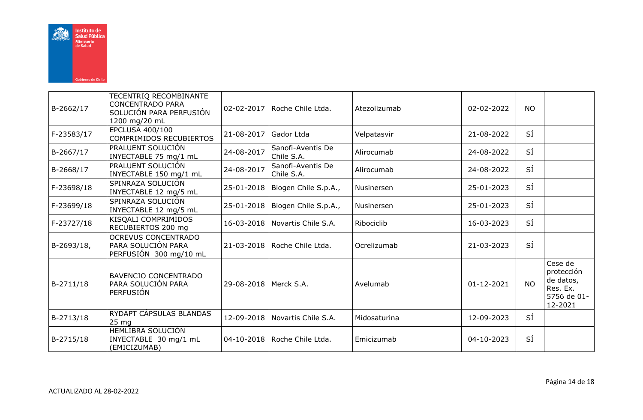

| B-2662/17  | TECENTRIQ RECOMBINANTE<br><b>CONCENTRADO PARA</b><br>SOLUCIÓN PARA PERFUSIÓN<br>1200 mg/20 mL | 02-02-2017              | Roche Chile Ltda.               | Atezolizumab | 02-02-2022       | <b>NO</b> |                                                                          |
|------------|-----------------------------------------------------------------------------------------------|-------------------------|---------------------------------|--------------|------------------|-----------|--------------------------------------------------------------------------|
| F-23583/17 | EPCLUSA 400/100<br><b>COMPRIMIDOS RECUBIERTOS</b>                                             | 21-08-2017              | Gador Ltda                      | Velpatasvir  | 21-08-2022       | SÍ        |                                                                          |
| B-2667/17  | PRALUENT SOLUCIÓN<br>INYECTABLE 75 mg/1 mL                                                    | 24-08-2017              | Sanofi-Aventis De<br>Chile S.A. | Alirocumab   | 24-08-2022       | SÍ        |                                                                          |
| B-2668/17  | PRALUENT SOLUCIÓN<br>INYECTABLE 150 mg/1 mL                                                   | 24-08-2017              | Sanofi-Aventis De<br>Chile S.A. | Alirocumab   | 24-08-2022       | SÍ        |                                                                          |
| F-23698/18 | SPINRAZA SOLUCIÓN<br>INYECTABLE 12 mg/5 mL                                                    | 25-01-2018              | Biogen Chile S.p.A.,            | Nusinersen   | 25-01-2023       | SÍ        |                                                                          |
| F-23699/18 | SPINRAZA SOLUCIÓN<br>INYECTABLE 12 mg/5 mL                                                    | 25-01-2018              | Biogen Chile S.p.A.,            | Nusinersen   | 25-01-2023       | SÍ        |                                                                          |
| F-23727/18 | KISQALI COMPRIMIDOS<br>RECUBIERTOS 200 mg                                                     | 16-03-2018              | l Novartis Chile S.A.           | Ribociclib   | 16-03-2023       | SÍ        |                                                                          |
| B-2693/18, | <b>OCREVUS CONCENTRADO</b><br>PARA SOLUCIÓN PARA<br>PERFUSIÓN 300 mg/10 mL                    | 21-03-2018              | Roche Chile Ltda.               | Ocrelizumab  | 21-03-2023       | SÍ        |                                                                          |
| B-2711/18  | <b>BAVENCIO CONCENTRADO</b><br>PARA SOLUCIÓN PARA<br><b>PERFUSIÓN</b>                         | 29-08-2018   Merck S.A. |                                 | Avelumab     | $01 - 12 - 2021$ | <b>NO</b> | Cese de<br>protección<br>de datos,<br>Res. Ex.<br>5756 de 01-<br>12-2021 |
| B-2713/18  | RYDAPT CÁPSULAS BLANDAS<br>25 mg                                                              | 12-09-2018              | Novartis Chile S.A.             | Midosaturina | 12-09-2023       | SÍ        |                                                                          |
| B-2715/18  | HEMLIBRA SOLUCIÓN<br>INYECTABLE 30 mg/1 mL<br>(EMICIZUMAB)                                    | 04-10-2018              | Roche Chile Ltda.               | Emicizumab   | 04-10-2023       | SÍ        |                                                                          |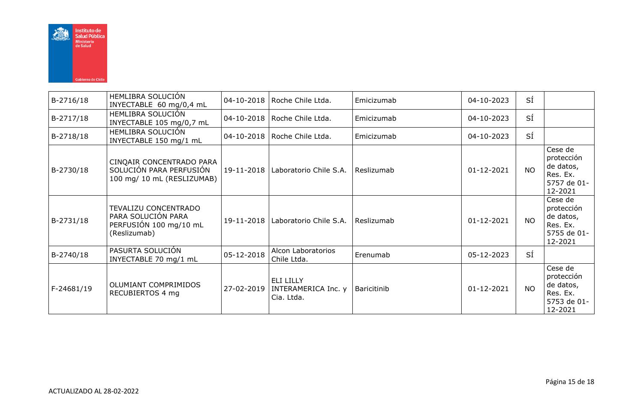

| B-2716/18  | HEMLIBRA SOLUCIÓN<br>INYECTABLE 60 mg/0,4 mL                                         |            | 04-10-2018   Roche Chile Ltda.                 | Emicizumab  | 04-10-2023 | SÍ        |                                                                          |
|------------|--------------------------------------------------------------------------------------|------------|------------------------------------------------|-------------|------------|-----------|--------------------------------------------------------------------------|
| B-2717/18  | HEMLIBRA SOLUCIÓN<br>INYECTABLE 105 mg/0,7 mL                                        |            | 04-10-2018   Roche Chile Ltda.                 | Emicizumab  | 04-10-2023 | SÍ        |                                                                          |
| B-2718/18  | HEMLIBRA SOLUCIÓN<br>INYECTABLE 150 mg/1 mL                                          |            | 04-10-2018   Roche Chile Ltda.                 | Emicizumab  | 04-10-2023 | SÍ        |                                                                          |
| B-2730/18  | CINQAIR CONCENTRADO PARA<br>SOLUCIÓN PARA PERFUSIÓN<br>100 mg/ 10 mL (RESLIZUMAB)    | 19-11-2018 | Laboratorio Chile S.A.                         | Reslizumab  | 01-12-2021 | NO.       | Cese de<br>protección<br>de datos,<br>Res. Ex.<br>5757 de 01-<br>12-2021 |
| B-2731/18  | TEVALIZU CONCENTRADO<br>PARA SOLUCIÓN PARA<br>PERFUSION 100 mg/10 mL<br>(Reslizumab) | 19-11-2018 | Laboratorio Chile S.A.                         | Reslizumab  | 01-12-2021 | <b>NO</b> | Cese de<br>protección<br>de datos,<br>Res. Ex.<br>5755 de 01-<br>12-2021 |
| B-2740/18  | PASURTA SOLUCIÓN<br>INYECTABLE 70 mg/1 mL                                            | 05-12-2018 | Alcon Laboratorios<br>Chile Ltda.              | Erenumab    | 05-12-2023 | SÍ        |                                                                          |
| F-24681/19 | OLUMIANT COMPRIMIDOS<br>RECUBIERTOS 4 mg                                             | 27-02-2019 | ELI LILLY<br>INTERAMERICA Inc. y<br>Cia. Ltda. | Baricitinib | 01-12-2021 | <b>NO</b> | Cese de<br>protección<br>de datos,<br>Res. Ex.<br>5753 de 01-<br>12-2021 |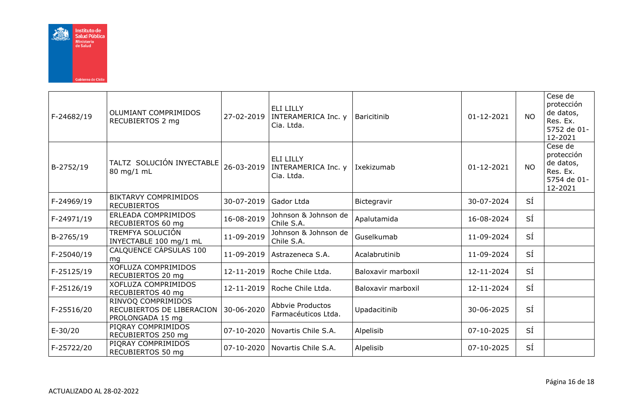

| F-24682/19 | OLUMIANT COMPRIMIDOS<br>RECUBIERTOS 2 mg                            | 27-02-2019 | <b>ELI LILLY</b><br>INTERAMERICA Inc. y<br>Cia. Ltda. | Baricitinib        | $01 - 12 - 2021$ | <b>NO</b> | Cese de<br>protección<br>de datos,<br>Res. Ex.<br>5752 de 01-<br>12-2021 |
|------------|---------------------------------------------------------------------|------------|-------------------------------------------------------|--------------------|------------------|-----------|--------------------------------------------------------------------------|
| B-2752/19  | TALTZ SOLUCIÓN INYECTABLE<br>80 mg/1 mL                             | 26-03-2019 | <b>ELI LILLY</b><br>INTERAMERICA Inc. y<br>Cia. Ltda. | Ixekizumab         | 01-12-2021       | <b>NO</b> | Cese de<br>protección<br>de datos,<br>Res. Ex.<br>5754 de 01-<br>12-2021 |
| F-24969/19 | <b>BIKTARVY COMPRIMIDOS</b><br><b>RECUBIERTOS</b>                   | 30-07-2019 | Gador Ltda                                            | Bictegravir        | 30-07-2024       | SÍ        |                                                                          |
| F-24971/19 | ERLEADA COMPRIMIDOS<br>RECUBIERTOS 60 mg                            | 16-08-2019 | Johnson & Johnson de<br>Chile S.A.                    | Apalutamida        | 16-08-2024       | SÍ        |                                                                          |
| B-2765/19  | TREMFYA SOLUCIÓN<br>INYECTABLE 100 mg/1 mL                          | 11-09-2019 | Johnson & Johnson de<br>Chile S.A.                    | Guselkumab         | 11-09-2024       | SÍ        |                                                                          |
| F-25040/19 | CALQUENCE CÁPSULAS 100<br>mq                                        | 11-09-2019 | Astrazeneca S.A.                                      | Acalabrutinib      | 11-09-2024       | SÍ        |                                                                          |
| F-25125/19 | <b>XOFLUZA COMPRIMIDOS</b><br>RECUBIERTOS 20 mg                     | 12-11-2019 | Roche Chile Ltda.                                     | Baloxavir marboxil | 12-11-2024       | SÍ        |                                                                          |
| F-25126/19 | XOFLUZA COMPRIMIDOS<br>RECUBIERTOS 40 mg                            | 12-11-2019 | Roche Chile Ltda.                                     | Baloxavir marboxil | 12-11-2024       | SÍ        |                                                                          |
| F-25516/20 | RINVOQ COMPRIMIDOS<br>RECUBIERTOS DE LIBERACION<br>PROLONGADA 15 mg | 30-06-2020 | Abbvie Productos<br>Farmacéuticos Ltda.               | Upadacitinib       | 30-06-2025       | SÍ        |                                                                          |
| E-30/20    | PIORAY COMPRIMIDOS<br>RECUBIERTOS 250 mg                            | 07-10-2020 | Novartis Chile S.A.                                   | Alpelisib          | 07-10-2025       | SÍ        |                                                                          |
| F-25722/20 | PIORAY COMPRIMIDOS<br>RECUBIERTOS 50 mg                             | 07-10-2020 | Novartis Chile S.A.                                   | Alpelisib          | 07-10-2025       | SÍ        |                                                                          |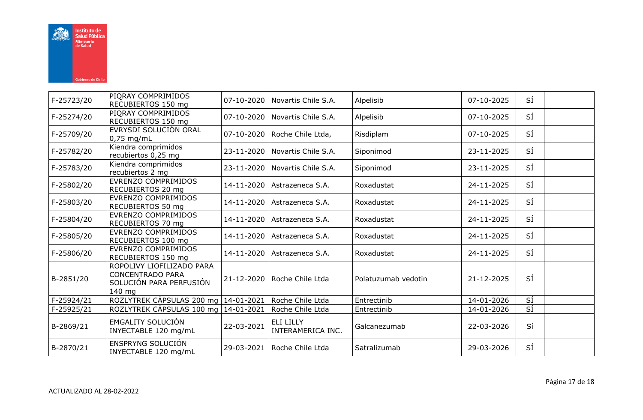

| F-25723/20 | PIQRAY COMPRIMIDOS<br>RECUBIERTOS 150 mg                                                  | 07-10-2020 | Novartis Chile S.A.                   | Alpelisib           | 07-10-2025 | SÍ              |  |
|------------|-------------------------------------------------------------------------------------------|------------|---------------------------------------|---------------------|------------|-----------------|--|
| F-25274/20 | PIORAY COMPRIMIDOS<br>RECUBIERTOS 150 mg                                                  | 07-10-2020 | Novartis Chile S.A.                   | Alpelisib           | 07-10-2025 | SÍ              |  |
| F-25709/20 | EVRYSDI SOLUCIÓN ORAL<br>$0,75$ mg/mL                                                     | 07-10-2020 | Roche Chile Ltda,                     | Risdiplam           | 07-10-2025 | SÍ              |  |
| F-25782/20 | Kiendra comprimidos<br>recubiertos 0,25 mg                                                | 23-11-2020 | Novartis Chile S.A.                   | Siponimod           | 23-11-2025 | SÍ              |  |
| F-25783/20 | Kiendra comprimidos<br>recubiertos 2 mg                                                   | 23-11-2020 | Novartis Chile S.A.                   | Siponimod           | 23-11-2025 | SÍ              |  |
| F-25802/20 | EVRENZO COMPRIMIDOS<br>RECUBIERTOS 20 mg                                                  | 14-11-2020 | Astrazeneca S.A.                      | Roxadustat          | 24-11-2025 | SÍ              |  |
| F-25803/20 | EVRENZO COMPRIMIDOS<br>RECUBIERTOS 50 mg                                                  | 14-11-2020 | Astrazeneca S.A.                      | Roxadustat          | 24-11-2025 | SÍ              |  |
| F-25804/20 | EVRENZO COMPRIMIDOS<br>RECUBIERTOS 70 mg                                                  | 14-11-2020 | Astrazeneca S.A.                      | Roxadustat          | 24-11-2025 | SÍ              |  |
| F-25805/20 | EVRENZO COMPRIMIDOS<br>RECUBIERTOS 100 mg                                                 | 14-11-2020 | Astrazeneca S.A.                      | Roxadustat          | 24-11-2025 | SÍ              |  |
| F-25806/20 | EVRENZO COMPRIMIDOS<br>RECUBIERTOS 150 mg                                                 | 14-11-2020 | Astrazeneca S.A.                      | Roxadustat          | 24-11-2025 | SÍ              |  |
| B-2851/20  | ROPOLIVY LIOFILIZADO PARA<br><b>CONCENTRADO PARA</b><br>SOLUCIÓN PARA PERFUSIÓN<br>140 mg | 21-12-2020 | Roche Chile Ltda                      | Polatuzumab vedotin | 21-12-2025 | SÍ              |  |
| F-25924/21 | ROZLYTREK CÁPSULAS 200 mg   14-01-2021                                                    |            | Roche Chile Ltda                      | Entrectinib         | 14-01-2026 | $\overline{si}$ |  |
| F-25925/21 | ROZLYTREK CÁPSULAS 100 mg   14-01-2021                                                    |            | Roche Chile Ltda                      | Entrectinib         | 14-01-2026 | SÍ              |  |
| B-2869/21  | <b>EMGALITY SOLUCIÓN</b><br>INYECTABLE 120 mg/mL                                          | 22-03-2021 | <b>ELI LILLY</b><br>INTERAMERICA INC. | Galcanezumab        | 22-03-2026 | Sí              |  |
| B-2870/21  | ENSPRYNG SOLUCIÓN<br>INYECTABLE 120 mg/mL                                                 | 29-03-2021 | Roche Chile Ltda                      | Satralizumab        | 29-03-2026 | SÍ              |  |